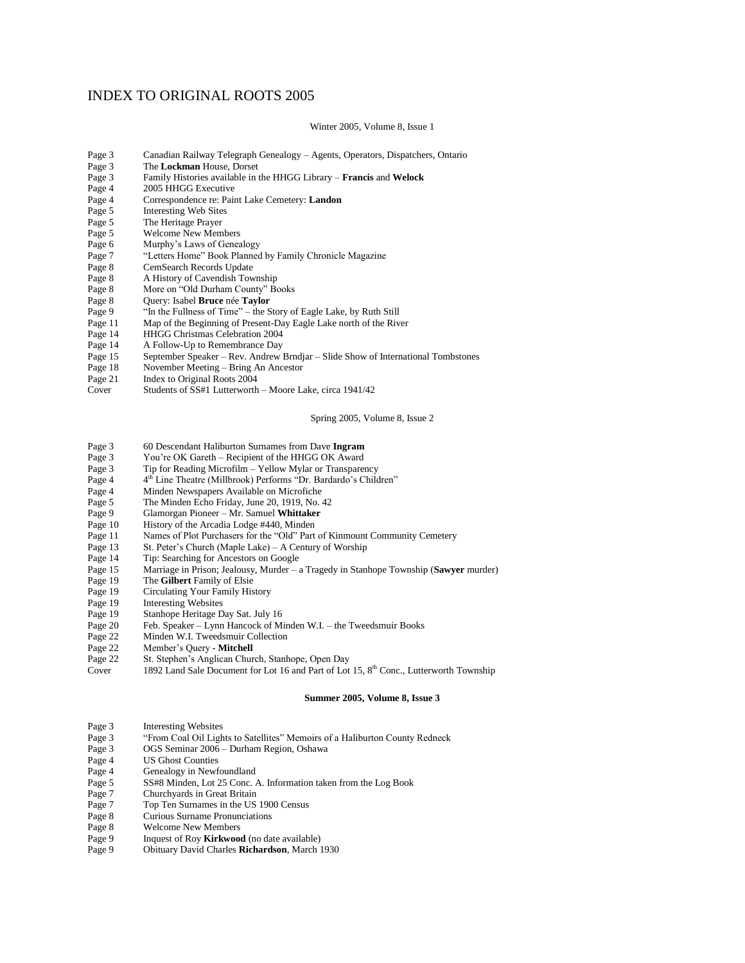# INDEX TO ORIGINAL ROOTS 2005

## Winter 2005, Volume 8, Issue 1

| Page 3 | Canadian Railway Telegraph Genealogy – Agents, Operators, Dispatchers, Ontario    |
|--------|-----------------------------------------------------------------------------------|
| Page 3 | The Lockman House. Dorset                                                         |
| Page 3 | Family Histories available in the HHGG Library – <b>Francis</b> and <b>Welock</b> |
| Page 4 | 2005 HHGG Executive                                                               |
| Page 4 | Correspondence re: Paint Lake Cemetery: Landon                                    |
| Page 5 | <b>Interesting Web Sites</b>                                                      |
| Page 5 | The Heritage Prayer                                                               |
| Page 5 | <b>Welcome New Members</b>                                                        |
| Page 6 | Murphy's Laws of Genealogy                                                        |
| Page 7 | "Letters Home" Book Planned by Family Chronicle Magazine                          |
| Page 8 | CemSearch Records Update                                                          |
| Page 8 | A History of Cavendish Township                                                   |
| Page 8 | More on "Old Durham County" Books                                                 |
| Page 8 | Query: Isabel Bruce née Taylor                                                    |

- 
- Page 9 "In the Fullness of Time" the Story of Eagle Lake, by Ruth Still<br>Page 11 Map of the Beginning of Present-Day Eagle Lake north of the Riv
- Page 11 Map of the Beginning of Present-Day Eagle Lake north of the River<br>Page 14 HHGG Christmas Celebration 2004
- Page 14 HHGG Christmas Celebration 2004<br>Page 14 A Follow-Up to Remembrance Day
- Page 14 A Follow-Up to Remembrance Day<br>Page 15 September Speaker Rev. Andrew 1
- Page 15 September Speaker Rev. Andrew Brndjar Slide Show of International Tombstones<br>Page 18 November Meeting Bring An Ancestor
- November Meeting Bring An Ancestor
- Page 21 Index to Original Roots 2004<br>Cover Students of SS#1 Lutterworth
- Students of  $SS#1$  Lutterworth Moore Lake, circa 1941/42

## Spring 2005, Volume 8, Issue 2

- Page 3 60 Descendant Haliburton Surnames from Dave **Ingram**
- Page 3 You're OK Gareth Recipient of the HHGG OK Award<br>Page 3 Tip for Reading Microfilm Yellow Mylar or Transparent
- Tip for Reading Microfilm Yellow Mylar or Transparency
- Page 4 4<sup>th</sup> Line Theatre (Millbrook) Performs "Dr. Bardardo's Children"
- Page 4 Minden Newspapers Available on Microfiche<br>Page 5 The Minden Echo Friday, June 20, 1919, No.
- Page 5 The Minden Echo Friday, June 20, 1919, No. 42<br>Page 9 Glamorgan Pioneer Mr. Samuel Whittaker
- Page 9 Glamorgan Pioneer Mr. Samuel **Whittaker**
- Page 10 History of the Arcadia Lodge #440, Minden<br>Page 11 Names of Plot Purchasers for the "Old" Part
- Page 11 Names of Plot Purchasers for the "Old" Part of Kinmount Community Cemetery Page 13 St. Peter's Church (Maple Lake) A Century of Worship
- St. Peter's Church (Maple Lake) A Century of Worship
- 
- Page 14 Tip: Searching for Ancestors on Google<br>Page 15 Marriage in Prison; Jealousy, Murder Page 15 Marriage in Prison; Jealousy, Murder – a Tragedy in Stanhope Township (**Sawyer** murder)
- Page 19 The **Gilbert** Family of Elsie<br>Page 19 Circulating Your Family His
- Circulating Your Family History
- 
- Page 19 Interesting Websites<br>Page 19 Stanhope Heritage D Stanhope Heritage Day Sat. July 16
- Page 20 Feb. Speaker Lynn Hancock of Minden W.I. the Tweedsmuir Books
- Minden W.I. Tweedsmuir Collection
- Page 22 Member's Query **Mitchell**
- Page 22 St. Stephen's Anglican Church, Stanhope, Open Day
- Cover 1892 Land Sale Document for Lot 16 and Part of Lot 15, 8<sup>th</sup> Conc., Lutterworth Township

#### **Summer 2005, Volume 8, Issue 3**

- Page 3 Interesting Websites
- Page 3 "From Coal Oil Lights to Satellites" Memoirs of a Haliburton County Redneck
- Page 3 OGS Seminar 2006 Durham Region, Oshawa
- Page 4 US Ghost Counties<br>Page 4 Genealogy in Newfo
- Genealogy in Newfoundland
- Page 5 SS#8 Minden, Lot 25 Conc. A. Information taken from the Log Book
- Page 7 Churchyards in Great Britain
- Page 7 Top Ten Surnames in the US 1900 Census<br>Page 8 Curious Surname Pronunciations
- **Curious Surname Pronunciations**
- Page 8 Welcome New Members
- Page 9 Inquest of Roy **Kirkwood** (no date available)
- Page 9 Obituary David Charles **Richardson**, March 1930